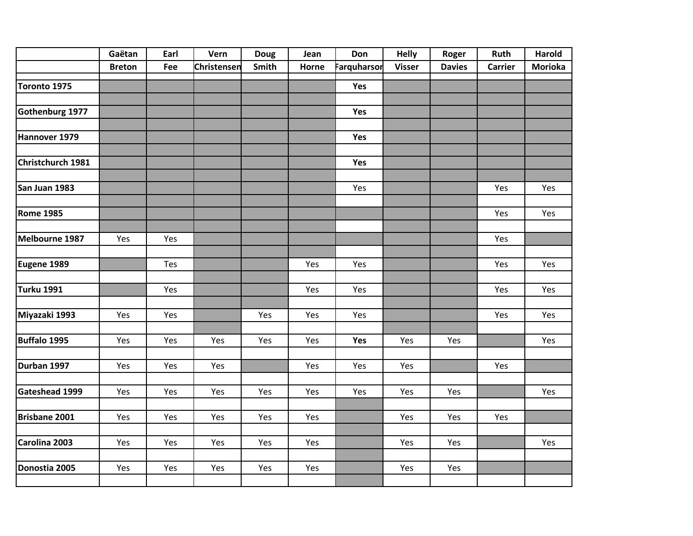|                   | Gaëtan        | Earl | Vern        | <b>Doug</b> | Jean  | Don                | <b>Helly</b>  | Roger         | Ruth    | <b>Harold</b>  |
|-------------------|---------------|------|-------------|-------------|-------|--------------------|---------------|---------------|---------|----------------|
|                   | <b>Breton</b> | Fee  | Christensen | Smith       | Horne | <b>Farquharsor</b> | <b>Visser</b> | <b>Davies</b> | Carrier | <b>Morioka</b> |
| Toronto 1975      |               |      |             |             |       | Yes                |               |               |         |                |
|                   |               |      |             |             |       |                    |               |               |         |                |
| Gothenburg 1977   |               |      |             |             |       | Yes                |               |               |         |                |
|                   |               |      |             |             |       |                    |               |               |         |                |
| Hannover 1979     |               |      |             |             |       | Yes                |               |               |         |                |
|                   |               |      |             |             |       |                    |               |               |         |                |
| Christchurch 1981 |               |      |             |             |       | Yes                |               |               |         |                |
| San Juan 1983     |               |      |             |             |       | Yes                |               |               | Yes     | Yes            |
|                   |               |      |             |             |       |                    |               |               |         |                |
| <b>Rome 1985</b>  |               |      |             |             |       |                    |               |               | Yes     | Yes            |
| Melbourne 1987    | Yes           | Yes  |             |             |       |                    |               |               | Yes     |                |
|                   |               |      |             |             |       |                    |               |               |         |                |
| Eugene 1989       |               | Tes  |             |             | Yes   | Yes                |               |               | Yes     | Yes            |
|                   |               |      |             |             |       |                    |               |               |         |                |
| Turku 1991        |               | Yes  |             |             | Yes   | Yes                |               |               | Yes     | Yes            |
|                   |               |      |             |             |       |                    |               |               |         |                |
| Miyazaki 1993     | Yes           | Yes  |             | Yes         | Yes   | Yes                |               |               | Yes     | Yes            |
|                   |               |      |             |             |       |                    |               |               |         |                |
| Buffalo 1995      | Yes           | Yes  | Yes         | Yes         | Yes   | Yes                | Yes           | Yes           |         | Yes            |
| Durban 1997       | Yes           | Yes  | Yes         |             | Yes   | Yes                | Yes           |               | Yes     |                |
|                   |               |      |             |             |       |                    |               |               |         |                |
| Gateshead 1999    | Yes           | Yes  | Yes         | Yes         | Yes   | Yes                | Yes           | Yes           |         | Yes            |
|                   |               |      |             |             |       |                    |               |               |         |                |
| Brisbane 2001     | Yes           | Yes  | Yes         | Yes         | Yes   |                    | Yes           | Yes           | Yes     |                |
|                   |               |      |             |             |       |                    |               |               |         |                |
| Carolina 2003     | Yes           | Yes  | Yes         | Yes         | Yes   |                    | Yes           | Yes           |         | Yes            |
|                   |               |      |             |             |       |                    |               |               |         |                |
| Donostia 2005     | Yes           | Yes  | Yes         | Yes         | Yes   |                    | Yes           | Yes           |         |                |
|                   |               |      |             |             |       |                    |               |               |         |                |